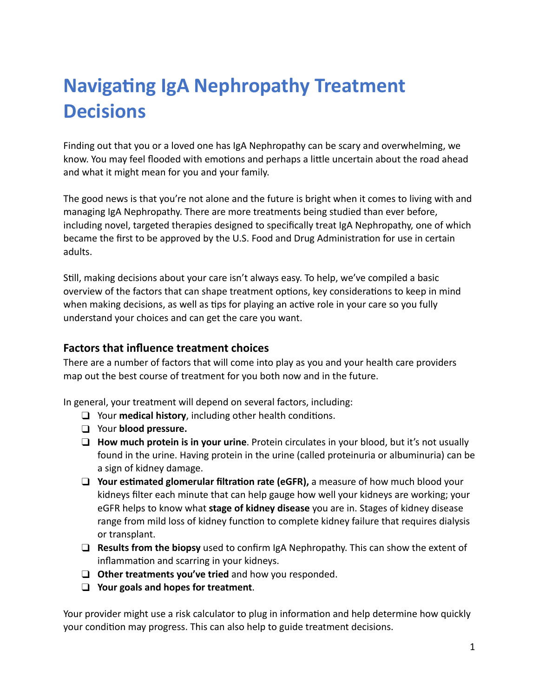# **Navigating IgA Nephropathy Treatment Decisions**

Finding out that you or a loved one has IgA Nephropathy can be scary and overwhelming, we know. You may feel flooded with emotions and perhaps a little uncertain about the road ahead and what it might mean for you and your family.

The good news is that you're not alone and the future is bright when it comes to living with and managing IgA Nephropathy. There are more treatments being studied than ever before, including novel, targeted therapies designed to specifically treat IgA Nephropathy, one of which became the first to be approved by the U.S. Food and Drug Administration for use in certain adults.

Still, making decisions about your care isn't always easy. To help, we've compiled a basic overview of the factors that can shape treatment options, key considerations to keep in mind when making decisions, as well as tips for playing an active role in your care so you fully understand your choices and can get the care you want.

#### **Factors that influence treatment choices**

There are a number of factors that will come into play as you and your health care providers map out the best course of treatment for you both now and in the future.

In general, your treatment will depend on several factors, including:

- $\Box$  Your **medical history**, including other health conditions.
- ❑ Your **blood pressure.**
- ❑ **How much protein is in your urine**. Protein circulates in your blood, but it's not usually found in the urine. Having protein in the urine (called proteinuria or albuminuria) can be a sign of kidney damage.
- □ Your estimated glomerular filtration rate (eGFR), a measure of how much blood your kidneys filter each minute that can help gauge how well your kidneys are working; your eGFR helps to know what **stage of kidney disease** you are in. Stages of kidney disease range from mild loss of kidney function to complete kidney failure that requires dialysis or transplant.
- ❑ **Results from the biopsy** used to confirm IgA Nephropathy. This can show the extent of inflammation and scarring in your kidneys.
- ❑ **Other treatments you've tried** and how you responded.
- ❑ **Your goals and hopes for treatment**.

Your provider might use a risk calculator to plug in information and help determine how quickly your condition may progress. This can also help to guide treatment decisions.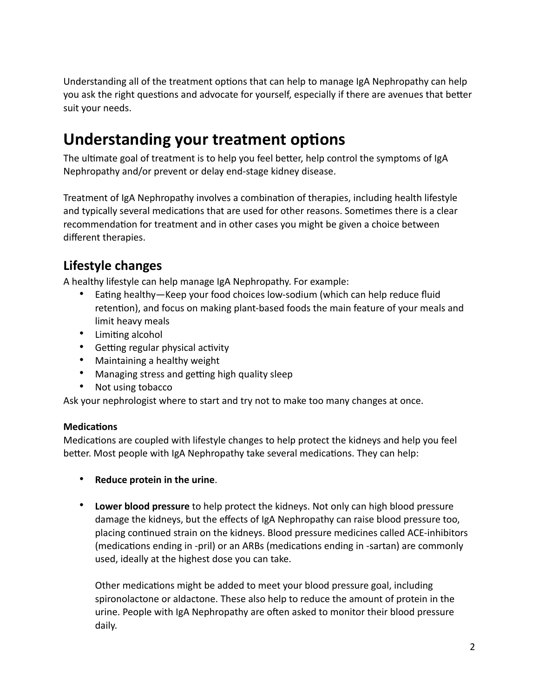Understanding all of the treatment options that can help to manage IgA Nephropathy can help you ask the right questions and advocate for yourself, especially if there are avenues that better suit your needs.

## **Understanding your treatment options**

The ultimate goal of treatment is to help you feel better, help control the symptoms of IgA Nephropathy and/or prevent or delay end-stage kidney disease.

Treatment of IgA Nephropathy involves a combination of therapies, including health lifestyle and typically several medications that are used for other reasons. Sometimes there is a clear recommendation for treatment and in other cases you might be given a choice between different therapies.

### **Lifestyle changes**

A healthy lifestyle can help manage IgA Nephropathy. For example:

- Eating healthy—Keep your food choices low-sodium (which can help reduce fluid retention), and focus on making plant-based foods the main feature of your meals and limit heavy meals
- Limiting alcohol
- Getting regular physical activity
- Maintaining a healthy weight
- Managing stress and getting high quality sleep
- Not using tobacco

Ask your nephrologist where to start and try not to make too many changes at once.

#### **Medications**

Medications are coupled with lifestyle changes to help protect the kidneys and help you feel better. Most people with IgA Nephropathy take several medications. They can help:

- **Reduce protein in the urine**.
- **Lower blood pressure** to help protect the kidneys. Not only can high blood pressure damage the kidneys, but the effects of IgA Nephropathy can raise blood pressure too, placing continued strain on the kidneys. Blood pressure medicines called ACE-inhibitors (medications ending in -pril) or an ARBs (medications ending in -sartan) are commonly used, ideally at the highest dose you can take.

Other medications might be added to meet your blood pressure goal, including spironolactone or aldactone. These also help to reduce the amount of protein in the urine. People with IgA Nephropathy are often asked to monitor their blood pressure daily.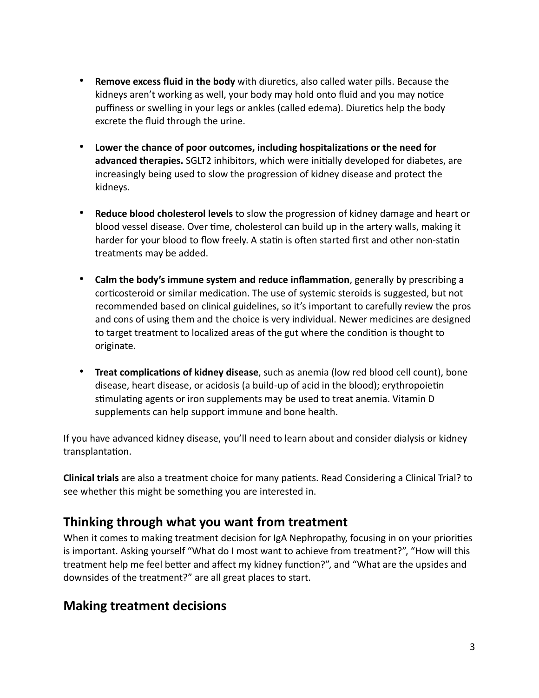- **Remove excess fluid in the body** with diuretics, also called water pills. Because the kidneys aren't working as well, your body may hold onto fluid and you may notice puffiness or swelling in your legs or ankles (called edema). Diuretics help the body excrete the fluid through the urine.
- Lower the chance of poor outcomes, including hospitalizations or the need for advanced therapies. SGLT2 inhibitors, which were initially developed for diabetes, are increasingly being used to slow the progression of kidney disease and protect the kidneys.
- **Reduce blood cholesterol levels** to slow the progression of kidney damage and heart or blood vessel disease. Over time, cholesterol can build up in the artery walls, making it harder for your blood to flow freely. A statin is often started first and other non-statin treatments may be added.
- **Calm the body's immune system and reduce inflammation**, generally by prescribing a corticosteroid or similar medication. The use of systemic steroids is suggested, but not recommended based on clinical guidelines, so it's important to carefully review the pros and cons of using them and the choice is very individual. Newer medicines are designed to target treatment to localized areas of the gut where the condition is thought to originate.
- **Treat complications of kidney disease**, such as anemia (low red blood cell count), bone disease, heart disease, or acidosis (a build-up of acid in the blood); erythropoietin stimulating agents or iron supplements may be used to treat anemia. Vitamin D supplements can help support immune and bone health.

If you have advanced kidney disease, you'll need to learn about and consider dialysis or kidney transplantation.

**Clinical trials** are also a treatment choice for many patients. Read Considering a Clinical Trial? to see whether this might be something you are interested in.

### **Thinking through what you want from treatment**

When it comes to making treatment decision for IgA Nephropathy, focusing in on your priorities is important. Asking yourself "What do I most want to achieve from treatment?", "How will this treatment help me feel better and affect my kidney function?", and "What are the upsides and downsides of the treatment?" are all great places to start.

### **Making treatment decisions**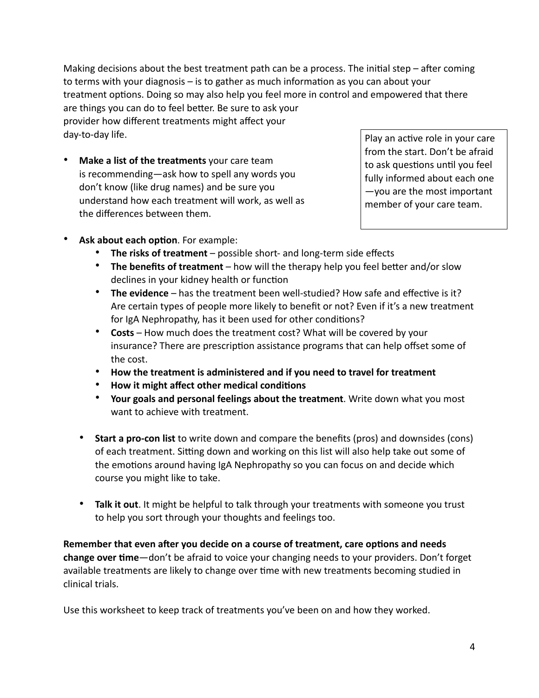Making decisions about the best treatment path can be a process. The initial step – after coming to terms with your diagnosis – is to gather as much information as you can about your treatment options. Doing so may also help you feel more in control and empowered that there are things you can do to feel better. Be sure to ask your provider how different treatments might affect your day-to-day life.

• **Make a list of the treatments** your care team is recommending—ask how to spell any words you don't know (like drug names) and be sure you understand how each treatment will work, as well as the differences between them.

Play an active role in your care from the start. Don't be afraid to ask questions until you feel fully informed about each one —you are the most important member of your care team.

- **Ask about each option. For example:** 
	- **The risks of treatment** possible short- and long-term side effects
	- The benefits of treatment how will the therapy help you feel better and/or slow declines in your kidney health or function
	- The evidence has the treatment been well-studied? How safe and effective is it? Are certain types of people more likely to benefit or not? Even if it's a new treatment for IgA Nephropathy, has it been used for other conditions?
	- **Costs** How much does the treatment cost? What will be covered by your insurance? There are prescription assistance programs that can help offset some of the cost.
	- **How the treatment is administered and if you need to travel for treatment**
	- **How it might affect other medical conditions**
	- **Your goals and personal feelings about the treatment**. Write down what you most want to achieve with treatment.
	- **Start a pro-con list** to write down and compare the benefits (pros) and downsides (cons) of each treatment. Sitting down and working on this list will also help take out some of the emotions around having IgA Nephropathy so you can focus on and decide which course you might like to take.
	- **Talk it out**. It might be helpful to talk through your treatments with someone you trust to help you sort through your thoughts and feelings too.

Remember that even after you decide on a course of treatment, care options and needs **change over time**—don't be afraid to voice your changing needs to your providers. Don't forget available treatments are likely to change over time with new treatments becoming studied in clinical trials.

Use this worksheet to keep track of treatments you've been on and how they worked.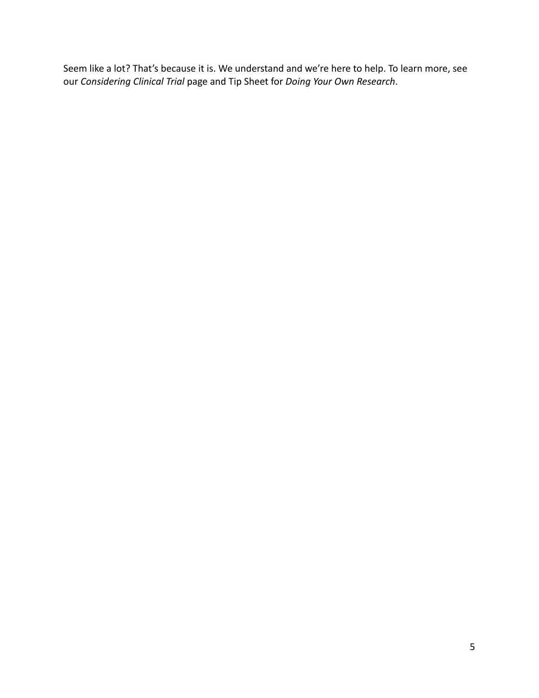Seem like a lot? That's because it is. We understand and we're here to help. To learn more, see our *Considering Clinical Trial* page and Tip Sheet for *Doing Your Own Research*.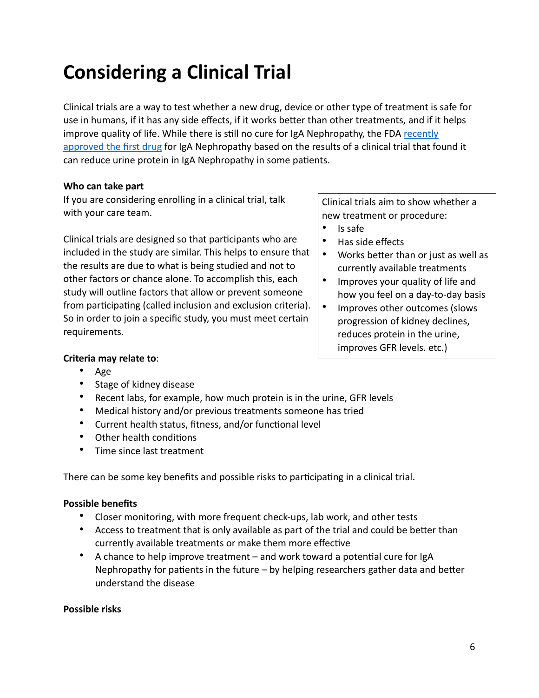## **Considering a Clinical Trial**

Clinical trials are a way to test whether a new drug, device or other type of treatment is safe for use in humans, if it has any side effects, if it works better than other treatments, and if it helps improve quality of life. While there is still no cure for IgA Nephropathy, the FDA recently [approved the first drug](https://www.fda.gov/drugs/fda-approves-first-drug-decrease-urine-protein-iga-nephropathy-rare-kidney-disease) for IgA Nephropathy based on the results of a clinical trial that found it can reduce urine protein in IgA Nephropathy in some patients.

#### **Who can take part**

If you are considering enrolling in a clinical trial, talk with your care team.

Clinical trials are designed so that participants who are included in the study are similar. This helps to ensure that the results are due to what is being studied and not to other factors or chance alone. To accomplish this, each study will outline factors that allow or prevent someone from participating (called inclusion and exclusion criteria). So in order to join a specific study, you must meet certain requirements.

Clinical trials aim to show whether a new treatment or procedure:

- Is safe
- Has side effects
- Works better than or just as well as currently available treatments
- Improves your quality of life and how you feel on a day-to-day basis
- Improves other outcomes (slows progression of kidney declines, reduces protein in the urine, improves GFR levels. etc.)

#### **Criteria may relate to**:

- Age
- Stage of kidney disease
- Recent labs, for example, how much protein is in the urine, GFR levels
- Medical history and/or previous treatments someone has tried
- Current health status, fitness, and/or functional level
- Other health conditions
- Time since last treatment

There can be some key benefits and possible risks to participating in a clinical trial.

#### **Possible benefits**

- Closer monitoring, with more frequent check-ups, lab work, and other tests
- Access to treatment that is only available as part of the trial and could be better than currently available treatments or make them more effective
- A chance to help improve treatment  $-$  and work toward a potential cure for IgA Nephropathy for patients in the future  $-$  by helping researchers gather data and better understand the disease

#### **Possible risks**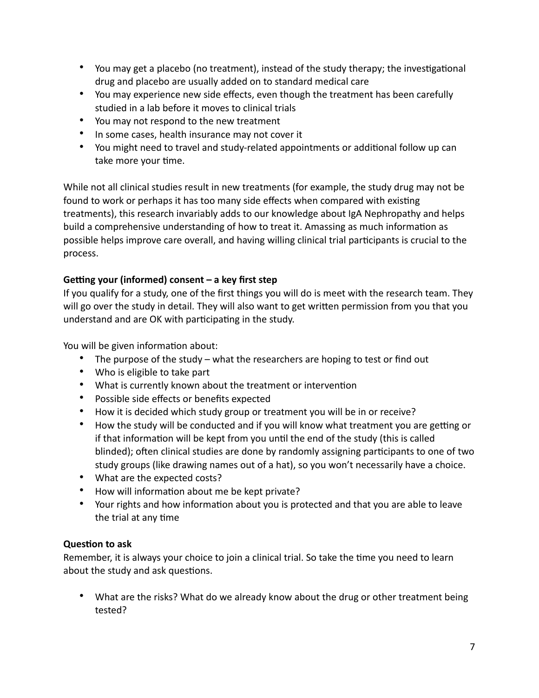- You may get a placebo (no treatment), instead of the study therapy; the investigational drug and placebo are usually added on to standard medical care
- You may experience new side effects, even though the treatment has been carefully studied in a lab before it moves to clinical trials
- You may not respond to the new treatment
- In some cases, health insurance may not cover it
- You might need to travel and study-related appointments or additional follow up can take more your time.

While not all clinical studies result in new treatments (for example, the study drug may not be found to work or perhaps it has too many side effects when compared with existing treatments), this research invariably adds to our knowledge about IgA Nephropathy and helps build a comprehensive understanding of how to treat it. Amassing as much information as possible helps improve care overall, and having willing clinical trial participants is crucial to the process.

#### Getting your (informed) consent – a key first step

If you qualify for a study, one of the first things you will do is meet with the research team. They will go over the study in detail. They will also want to get written permission from you that you understand and are OK with participating in the study.

You will be given information about:

- The purpose of the study what the researchers are hoping to test or find out
- Who is eligible to take part
- What is currently known about the treatment or intervention
- Possible side effects or benefits expected
- How it is decided which study group or treatment you will be in or receive?
- How the study will be conducted and if you will know what treatment you are getting or if that information will be kept from you until the end of the study (this is called blinded); often clinical studies are done by randomly assigning participants to one of two study groups (like drawing names out of a hat), so you won't necessarily have a choice.
- What are the expected costs?
- How will information about me be kept private?
- Your rights and how information about you is protected and that you are able to leave the trial at any time

#### **Question to ask**

Remember, it is always your choice to join a clinical trial. So take the time you need to learn about the study and ask questions.

• What are the risks? What do we already know about the drug or other treatment being tested?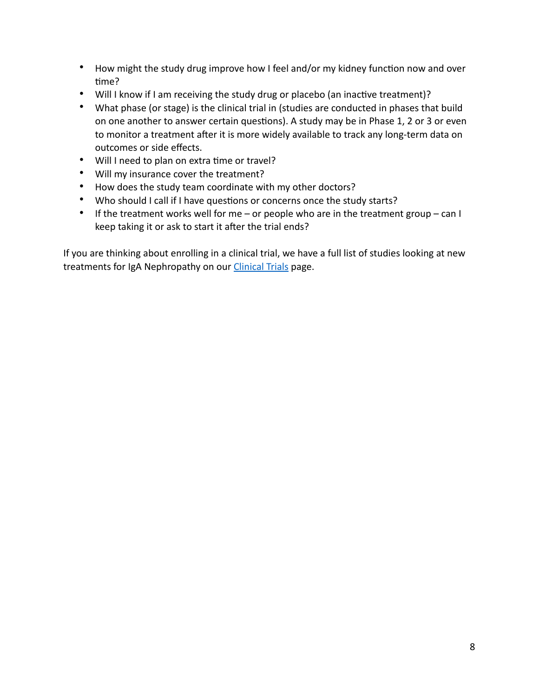- How might the study drug improve how I feel and/or my kidney function now and over time?
- Will I know if I am receiving the study drug or placebo (an inactive treatment)?
- What phase (or stage) is the clinical trial in (studies are conducted in phases that build on one another to answer certain questions). A study may be in Phase 1, 2 or 3 or even to monitor a treatment after it is more widely available to track any long-term data on outcomes or side effects.
- Will I need to plan on extra time or travel?
- Will my insurance cover the treatment?
- How does the study team coordinate with my other doctors?
- Who should I call if I have questions or concerns once the study starts?
- If the treatment works well for me or people who are in the treatment group can I keep taking it or ask to start it after the trial ends?

If you are thinking about enrolling in a clinical trial, we have a full list of studies looking at new treatments for IgA Nephropathy on our [Clinical Trials](https://igan.org/clinical%2520trials/) page.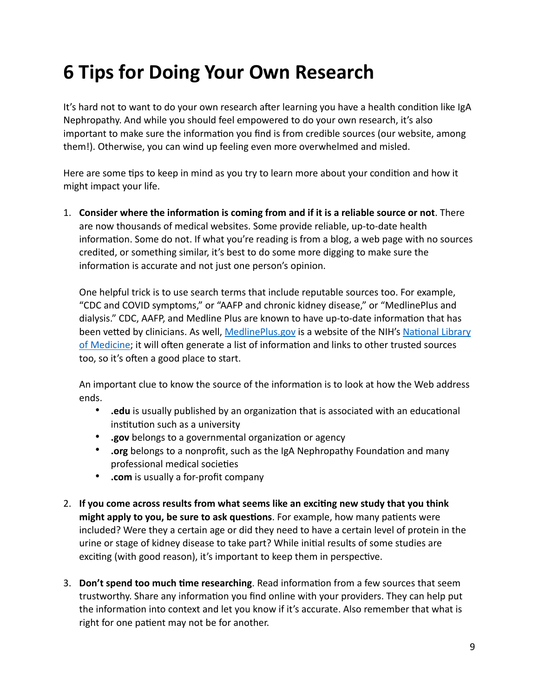## **6 Tips for Doing Your Own Research**

It's hard not to want to do your own research after learning you have a health condition like IgA Nephropathy. And while you should feel empowered to do your own research, it's also important to make sure the information you find is from credible sources (our website, among them!). Otherwise, you can wind up feeling even more overwhelmed and misled.

Here are some tips to keep in mind as you try to learn more about your condition and how it might impact your life.

1. Consider where the information is coming from and if it is a reliable source or not. There are now thousands of medical websites. Some provide reliable, up-to-date health information. Some do not. If what you're reading is from a blog, a web page with no sources credited, or something similar, it's best to do some more digging to make sure the information is accurate and not just one person's opinion.

One helpful trick is to use search terms that include reputable sources too. For example, "CDC and COVID symptoms," or "AAFP and chronic kidney disease," or "MedlinePlus and dialysis." CDC, AAFP, and Medline Plus are known to have up-to-date information that has been vetted by clinicians. As well, [MedlinePlus.gov](https://www.medlineplus.gov) is a website of the NIH's National Library [of Medicine](https://www.nlm.nih.gov); it will often generate a list of information and links to other trusted sources too, so it's often a good place to start.

An important clue to know the source of the information is to look at how the Web address ends.

- **.edu** is usually published by an organization that is associated with an educational institution such as a university
- **.gov** belongs to a governmental organization or agency
- **.org** belongs to a nonprofit, such as the IgA Nephropathy Foundation and many professional medical societies
- **.com** is usually a for-profit company
- 2. If you come across results from what seems like an exciting new study that you think **might apply to you, be sure to ask questions**. For example, how many patients were included? Were they a certain age or did they need to have a certain level of protein in the urine or stage of kidney disease to take part? While initial results of some studies are exciting (with good reason), it's important to keep them in perspective.
- 3. **Don't spend too much time researching**. Read information from a few sources that seem trustworthy. Share any information you find online with your providers. They can help put the information into context and let you know if it's accurate. Also remember that what is right for one patient may not be for another.